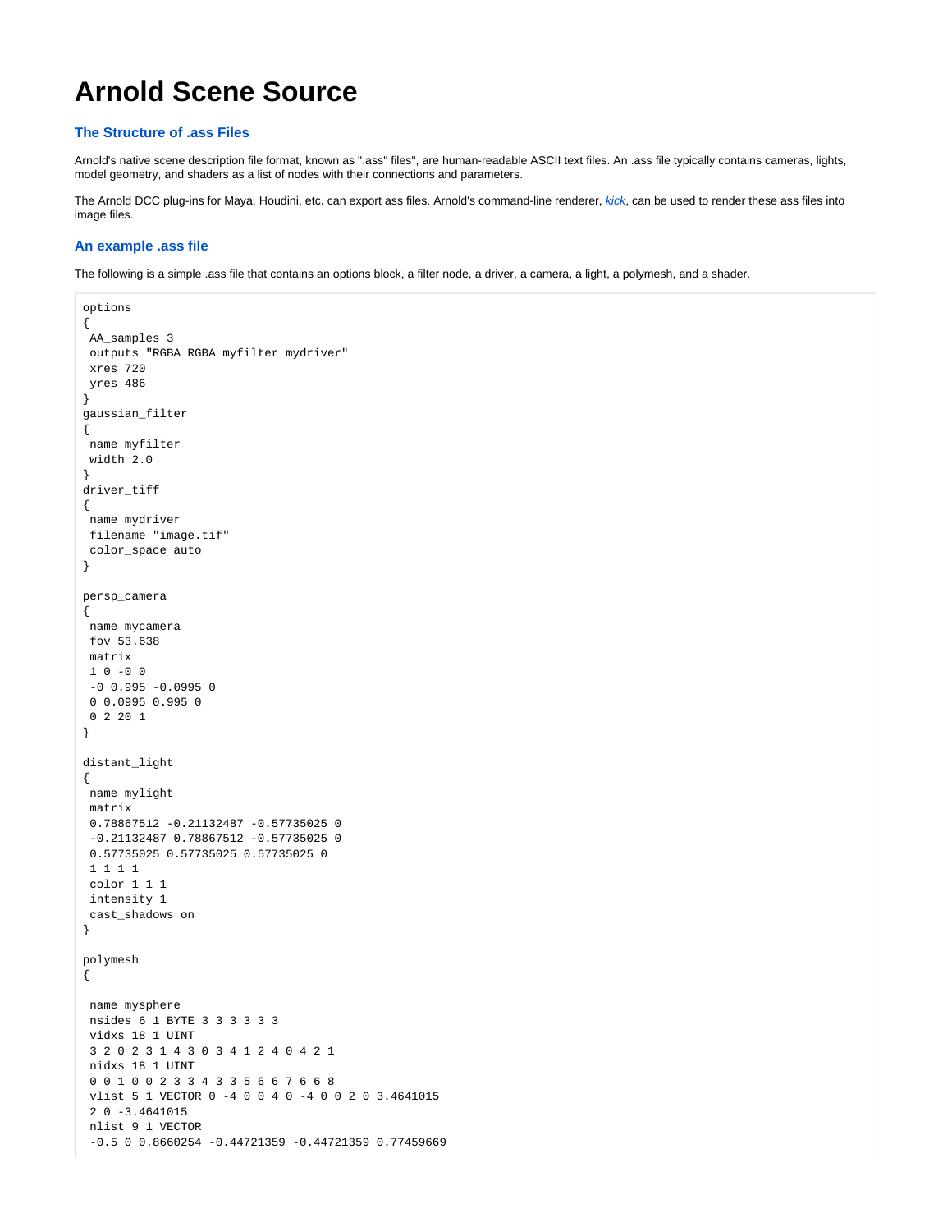# **Arnold Scene Source**

## **The Structure of .ass Files**

Arnold's native scene description file format, known as ".ass" files", are human-readable ASCII text files. An .ass file typically contains cameras, lights, model geometry, and shaders as a list of nodes with their connections and parameters.

The Arnold DCC plug-ins for Maya, Houdini, etc. can export ass files. Arnold's command-line renderer, [kick](https://docs.arnoldrenderer.com/pages/viewpage.action?pageId=36110428), can be used to render these ass files into image files.

## **An example .ass file**

The following is a simple .ass file that contains an options block, a filter node, a driver, a camera, a light, a polymesh, and a shader.

```
options
{
 AA_samples 3
 outputs "RGBA RGBA myfilter mydriver" 
 xres 720
 yres 486
}
gaussian_filter
{
 name myfilter
  width 2.0
}
driver_tiff
{
 name mydriver
 filename "image.tif"
 color_space auto
}
persp_camera
{
 name mycamera
 fov 53.638 
 matrix
10 -00-0 0.995 -0.0995 0
 0 0.0995 0.995 0
 0 2 20 1 
}
distant_light
{
 name mylight
 matrix
 0.78867512 -0.21132487 -0.57735025 0
  -0.21132487 0.78867512 -0.57735025 0
 0.57735025 0.57735025 0.57735025 0
 1 1 1 1 
 color 1 1 1
 intensity 1
 cast_shadows on
}
polymesh
{
 name mysphere
 nsides 6 1 BYTE 3 3 3 3 3 3 
 vidxs 18 1 UINT 
  3 2 0 2 3 1 4 3 0 3 4 1 2 4 0 4 2 1 
 nidxs 18 1 UINT 
  0 0 1 0 0 2 3 3 4 3 3 5 6 6 7 6 6 8 
  vlist 5 1 VECTOR 0 -4 0 0 4 0 -4 0 0 2 0 3.4641015 
  2 0 -3.4641015
 nlist 9 1 VECTOR 
  -0.5 0 0.8660254 -0.44721359 -0.44721359 0.77459669
```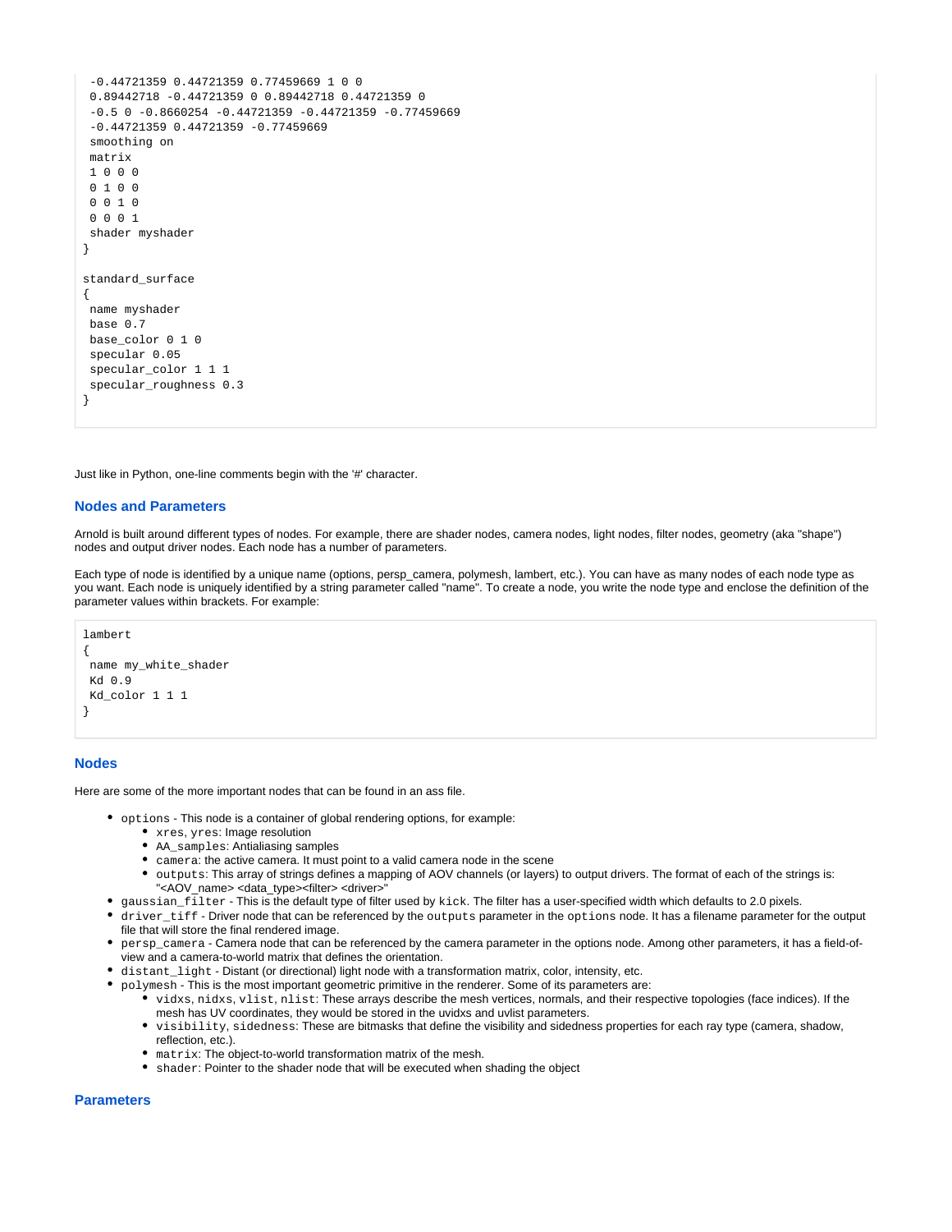```
 -0.44721359 0.44721359 0.77459669 1 0 0 
 0.89442718 -0.44721359 0 0.89442718 0.44721359 0
-0.5 0 -0.8660254 -0.44721359 -0.44721359 -0.77459669 -0.44721359 0.44721359 -0.77459669 
 smoothing on
 matrix
 1 0 0 0
0, 1, 0, 0 0 0 1 0
 0 0 0 1 
 shader myshader
}
standard_surface
{
 name myshader
 base 0.7
 base_color 0 1 0
 specular 0.05
 specular_color 1 1 1
 specular_roughness 0.3
}
```
Just like in Python, one-line comments begin with the '#' character.

#### **Nodes and Parameters**

Arnold is built around different types of nodes. For example, there are shader nodes, camera nodes, light nodes, filter nodes, geometry (aka "shape") nodes and output driver nodes. Each node has a number of parameters.

Each type of node is identified by a unique name (options, persp\_camera, polymesh, lambert, etc.). You can have as many nodes of each node type as you want. Each node is uniquely identified by a string parameter called "name". To create a node, you write the node type and enclose the definition of the parameter values within brackets. For example:

```
lambert
{
 name my_white_shader
 Kd 0.9
 Kd_color 1 1 1
}
```
### **Nodes**

Here are some of the more important nodes that can be found in an ass file.

- options This node is a container of global rendering options, for example:
	- xres, yres: Image resolution
	- AA\_samples: Antialiasing samples
	- camera: the active camera. It must point to a valid camera node in the scene
	- outputs: This array of strings defines a mapping of AOV channels (or layers) to output drivers. The format of each of the strings is: "<AOV\_name> <data\_type><filter> <driver>"
- gaussian\_filter This is the default type of filter used by kick. The filter has a user-specified width which defaults to 2.0 pixels.
- driver\_tiff Driver node that can be referenced by the outputs parameter in the options node. It has a filename parameter for the output file that will store the final rendered image.
- persp\_camera Camera node that can be referenced by the camera parameter in the options node. Among other parameters, it has a field-ofview and a camera-to-world matrix that defines the orientation.
- distant\_light Distant (or directional) light node with a transformation matrix, color, intensity, etc.
- polymesh This is the most important geometric primitive in the renderer. Some of its parameters are:
	- vidxs, nidxs, vlist, nlist: These arrays describe the mesh vertices, normals, and their respective topologies (face indices). If the mesh has UV coordinates, they would be stored in the uvidxs and uvlist parameters.
	- visibility, sidedness: These are bitmasks that define the visibility and sidedness properties for each ray type (camera, shadow, reflection, etc.)
	- matrix: The object-to-world transformation matrix of the mesh.
	- shader: Pointer to the shader node that will be executed when shading the object

#### **Parameters**